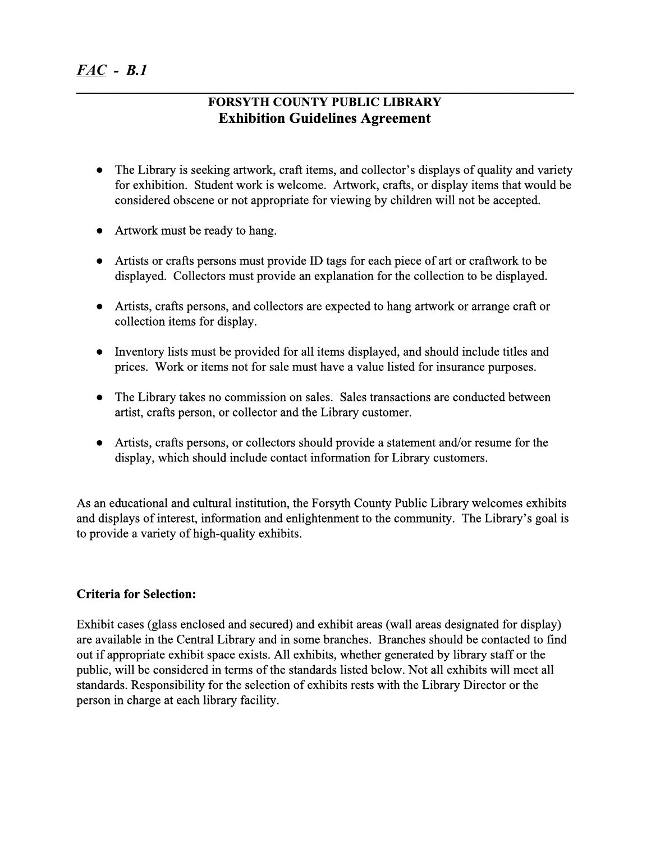## **FORSYTH COUNTY PUBLIC LIBRARY Exhibition Guidelines Agreement**

**\_\_\_\_\_\_\_\_\_\_\_\_\_\_\_\_\_\_\_\_\_\_\_\_\_\_\_\_\_\_\_\_\_\_\_\_\_\_\_\_\_\_\_\_\_\_\_\_\_\_\_\_\_\_\_\_\_\_\_\_\_\_\_\_\_\_\_\_\_\_\_\_\_\_\_\_\_\_**

- The Library is seeking artwork, craft items, and collector's displays of quality and variety for exhibition. Student work is welcome. Artwork, crafts, or display items that would be considered obscene or not appropriate for viewing by children will not be accepted.
- Artwork must be ready to hang.
- Artists or crafts persons must provide ID tags for each piece of art or craftwork to be displayed. Collectors must provide an explanation for the collection to be displayed.
- Artists, crafts persons, and collectors are expected to hang artwork or arrange craft or collection items for display.
- Inventory lists must be provided for all items displayed, and should include titles and prices. Work or items not for sale must have a value listed for insurance purposes.
- The Library takes no commission on sales. Sales transactions are conducted between artist, crafts person, or collector and the Library customer.
- Artists, crafts persons, or collectors should provide a statement and/or resume for the display, which should include contact information for Library customers.

As an educational and cultural institution, the Forsyth County Public Library welcomes exhibits and displays of interest, information and enlightenment to the community. The Library's goal is to provide a variety of high-quality exhibits.

## **Criteria for Selection:**

Exhibit cases (glass enclosed and secured) and exhibit areas (wall areas designated for display) are available in the Central Library and in some branches. Branches should be contacted to find out if appropriate exhibit space exists. All exhibits, whether generated by library staff or the public, will be considered in terms of the standards listed below. Not all exhibits will meet all standards. Responsibility for the selection of exhibits rests with the Library Director or the person in charge at each library facility.